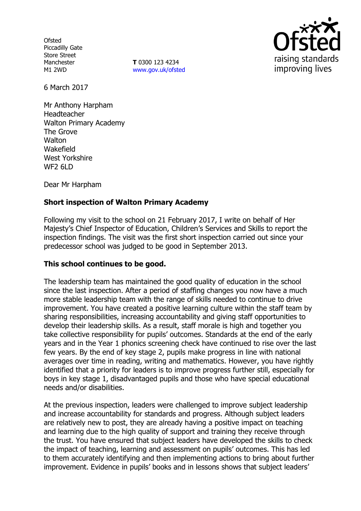**Ofsted** Piccadilly Gate Store Street Manchester M1 2WD

**T** 0300 123 4234 www.gov.uk/ofsted



6 March 2017

Mr Anthony Harpham Headteacher Walton Primary Academy The Grove **Walton** Wakefield West Yorkshire WF2 6LD

Dear Mr Harpham

# **Short inspection of Walton Primary Academy**

Following my visit to the school on 21 February 2017, I write on behalf of Her Majesty's Chief Inspector of Education, Children's Services and Skills to report the inspection findings. The visit was the first short inspection carried out since your predecessor school was judged to be good in September 2013.

### **This school continues to be good.**

The leadership team has maintained the good quality of education in the school since the last inspection. After a period of staffing changes you now have a much more stable leadership team with the range of skills needed to continue to drive improvement. You have created a positive learning culture within the staff team by sharing responsibilities, increasing accountability and giving staff opportunities to develop their leadership skills. As a result, staff morale is high and together you take collective responsibility for pupils' outcomes. Standards at the end of the early years and in the Year 1 phonics screening check have continued to rise over the last few years. By the end of key stage 2, pupils make progress in line with national averages over time in reading, writing and mathematics. However, you have rightly identified that a priority for leaders is to improve progress further still, especially for boys in key stage 1, disadvantaged pupils and those who have special educational needs and/or disabilities.

At the previous inspection, leaders were challenged to improve subject leadership and increase accountability for standards and progress. Although subject leaders are relatively new to post, they are already having a positive impact on teaching and learning due to the high quality of support and training they receive through the trust. You have ensured that subject leaders have developed the skills to check the impact of teaching, learning and assessment on pupils' outcomes. This has led to them accurately identifying and then implementing actions to bring about further improvement. Evidence in pupils' books and in lessons shows that subject leaders'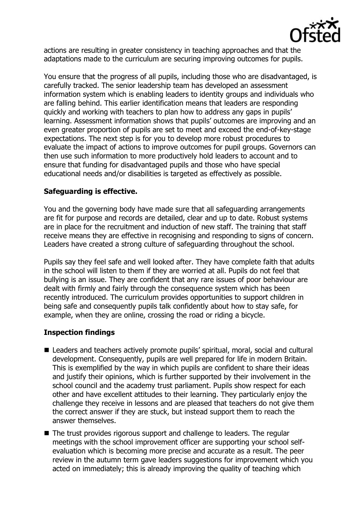

actions are resulting in greater consistency in teaching approaches and that the adaptations made to the curriculum are securing improving outcomes for pupils.

You ensure that the progress of all pupils, including those who are disadvantaged, is carefully tracked. The senior leadership team has developed an assessment information system which is enabling leaders to identity groups and individuals who are falling behind. This earlier identification means that leaders are responding quickly and working with teachers to plan how to address any gaps in pupils' learning. Assessment information shows that pupils' outcomes are improving and an even greater proportion of pupils are set to meet and exceed the end-of-key-stage expectations. The next step is for you to develop more robust procedures to evaluate the impact of actions to improve outcomes for pupil groups. Governors can then use such information to more productively hold leaders to account and to ensure that funding for disadvantaged pupils and those who have special educational needs and/or disabilities is targeted as effectively as possible.

# **Safeguarding is effective.**

You and the governing body have made sure that all safeguarding arrangements are fit for purpose and records are detailed, clear and up to date. Robust systems are in place for the recruitment and induction of new staff. The training that staff receive means they are effective in recognising and responding to signs of concern. Leaders have created a strong culture of safeguarding throughout the school.

Pupils say they feel safe and well looked after. They have complete faith that adults in the school will listen to them if they are worried at all. Pupils do not feel that bullying is an issue. They are confident that any rare issues of poor behaviour are dealt with firmly and fairly through the consequence system which has been recently introduced. The curriculum provides opportunities to support children in being safe and consequently pupils talk confidently about how to stay safe, for example, when they are online, crossing the road or riding a bicycle.

# **Inspection findings**

- Leaders and teachers actively promote pupils' spiritual, moral, social and cultural development. Consequently, pupils are well prepared for life in modern Britain. This is exemplified by the way in which pupils are confident to share their ideas and justify their opinions, which is further supported by their involvement in the school council and the academy trust parliament. Pupils show respect for each other and have excellent attitudes to their learning. They particularly enjoy the challenge they receive in lessons and are pleased that teachers do not give them the correct answer if they are stuck, but instead support them to reach the answer themselves.
- The trust provides rigorous support and challenge to leaders. The regular meetings with the school improvement officer are supporting your school selfevaluation which is becoming more precise and accurate as a result. The peer review in the autumn term gave leaders suggestions for improvement which you acted on immediately; this is already improving the quality of teaching which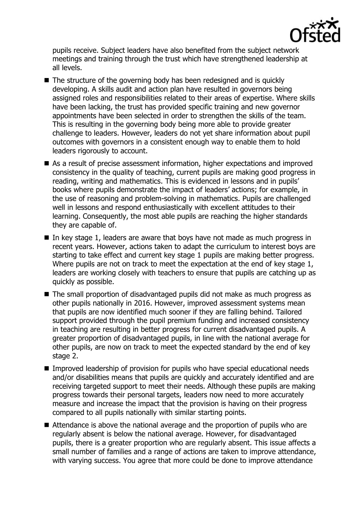

pupils receive. Subject leaders have also benefited from the subject network meetings and training through the trust which have strengthened leadership at all levels.

- The structure of the governing body has been redesigned and is quickly developing. A skills audit and action plan have resulted in governors being assigned roles and responsibilities related to their areas of expertise. Where skills have been lacking, the trust has provided specific training and new governor appointments have been selected in order to strengthen the skills of the team. This is resulting in the governing body being more able to provide greater challenge to leaders. However, leaders do not yet share information about pupil outcomes with governors in a consistent enough way to enable them to hold leaders rigorously to account.
- As a result of precise assessment information, higher expectations and improved consistency in the quality of teaching, current pupils are making good progress in reading, writing and mathematics. This is evidenced in lessons and in pupils' books where pupils demonstrate the impact of leaders' actions; for example, in the use of reasoning and problem-solving in mathematics. Pupils are challenged well in lessons and respond enthusiastically with excellent attitudes to their learning. Consequently, the most able pupils are reaching the higher standards they are capable of.
- In key stage 1, leaders are aware that boys have not made as much progress in recent years. However, actions taken to adapt the curriculum to interest boys are starting to take effect and current key stage 1 pupils are making better progress. Where pupils are not on track to meet the expectation at the end of key stage 1, leaders are working closely with teachers to ensure that pupils are catching up as quickly as possible.
- The small proportion of disadvantaged pupils did not make as much progress as other pupils nationally in 2016. However, improved assessment systems mean that pupils are now identified much sooner if they are falling behind. Tailored support provided through the pupil premium funding and increased consistency in teaching are resulting in better progress for current disadvantaged pupils. A greater proportion of disadvantaged pupils, in line with the national average for other pupils, are now on track to meet the expected standard by the end of key stage 2.
- **IMPROVED 1** Improved leadership of provision for pupils who have special educational needs and/or disabilities means that pupils are quickly and accurately identified and are receiving targeted support to meet their needs. Although these pupils are making progress towards their personal targets, leaders now need to more accurately measure and increase the impact that the provision is having on their progress compared to all pupils nationally with similar starting points.
- Attendance is above the national average and the proportion of pupils who are regularly absent is below the national average. However, for disadvantaged pupils, there is a greater proportion who are regularly absent. This issue affects a small number of families and a range of actions are taken to improve attendance, with varying success. You agree that more could be done to improve attendance